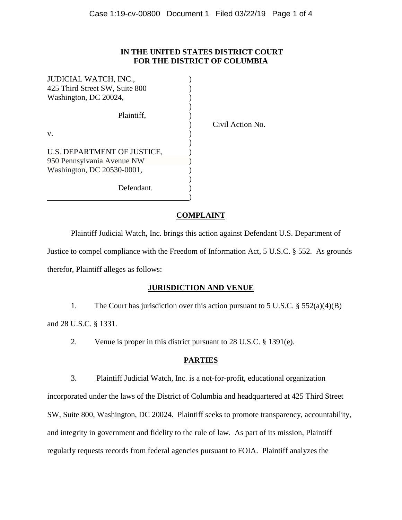# **IN THE UNITED STATES DISTRICT COURT FOR THE DISTRICT OF COLUMBIA**

| JUDICIAL WATCH, INC.,          |                  |
|--------------------------------|------------------|
| 425 Third Street SW, Suite 800 |                  |
| Washington, DC 20024,          |                  |
|                                |                  |
| Plaintiff,                     |                  |
|                                | Civil Action No. |
| V.                             |                  |
|                                |                  |
| U.S. DEPARTMENT OF JUSTICE,    |                  |
| 950 Pennsylvania Avenue NW     |                  |
| Washington, DC 20530-0001,     |                  |
|                                |                  |
| Defendant.                     |                  |
|                                |                  |

# **COMPLAINT**

Plaintiff Judicial Watch, Inc. brings this action against Defendant U.S. Department of Justice to compel compliance with the Freedom of Information Act, 5 U.S.C. § 552. As grounds therefor, Plaintiff alleges as follows:

### **JURISDICTION AND VENUE**

1. The Court has jurisdiction over this action pursuant to 5 U.S.C. § 552(a)(4)(B) and 28 U.S.C. § 1331.

2. Venue is proper in this district pursuant to 28 U.S.C. § 1391(e).

# **PARTIES**

3. Plaintiff Judicial Watch, Inc. is a not-for-profit, educational organization incorporated under the laws of the District of Columbia and headquartered at 425 Third Street SW, Suite 800, Washington, DC 20024. Plaintiff seeks to promote transparency, accountability, and integrity in government and fidelity to the rule of law. As part of its mission, Plaintiff regularly requests records from federal agencies pursuant to FOIA. Plaintiff analyzes the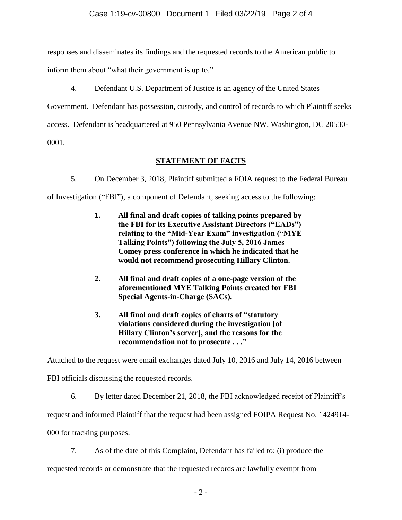responses and disseminates its findings and the requested records to the American public to

inform them about "what their government is up to."

4. Defendant U.S. Department of Justice is an agency of the United States

Government. Defendant has possession, custody, and control of records to which Plaintiff seeks

access. Defendant is headquartered at 950 Pennsylvania Avenue NW, Washington, DC 20530-

0001.

# **STATEMENT OF FACTS**

5. On December 3, 2018, Plaintiff submitted a FOIA request to the Federal Bureau

of Investigation ("FBI"), a component of Defendant, seeking access to the following:

- **1. All final and draft copies of talking points prepared by the FBI for its Executive Assistant Directors ("EADs") relating to the "Mid-Year Exam" investigation ("MYE Talking Points") following the July 5, 2016 James Comey press conference in which he indicated that he would not recommend prosecuting Hillary Clinton.**
- **2. All final and draft copies of a one-page version of the aforementioned MYE Talking Points created for FBI Special Agents-in-Charge (SACs).**
- **3. All final and draft copies of charts of "statutory violations considered during the investigation [of Hillary Clinton's server], and the reasons for the recommendation not to prosecute . . ."**

Attached to the request were email exchanges dated July 10, 2016 and July 14, 2016 between

FBI officials discussing the requested records.

6. By letter dated December 21, 2018, the FBI acknowledged receipt of Plaintiff's

request and informed Plaintiff that the request had been assigned FOIPA Request No. 1424914-

000 for tracking purposes.

7. As of the date of this Complaint, Defendant has failed to: (i) produce the

requested records or demonstrate that the requested records are lawfully exempt from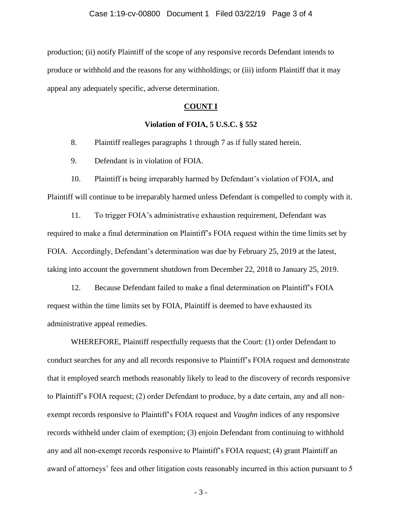production; (ii) notify Plaintiff of the scope of any responsive records Defendant intends to produce or withhold and the reasons for any withholdings; or (iii) inform Plaintiff that it may appeal any adequately specific, adverse determination.

#### **COUNT I**

### **Violation of FOIA, 5 U.S.C. § 552**

8. Plaintiff realleges paragraphs 1 through 7 as if fully stated herein.

9. Defendant is in violation of FOIA.

10. Plaintiff is being irreparably harmed by Defendant's violation of FOIA, and Plaintiff will continue to be irreparably harmed unless Defendant is compelled to comply with it.

11. To trigger FOIA's administrative exhaustion requirement, Defendant was required to make a final determination on Plaintiff's FOIA request within the time limits set by FOIA. Accordingly, Defendant's determination was due by February 25, 2019 at the latest, taking into account the government shutdown from December 22, 2018 to January 25, 2019.

12. Because Defendant failed to make a final determination on Plaintiff's FOIA request within the time limits set by FOIA, Plaintiff is deemed to have exhausted its administrative appeal remedies.

WHEREFORE, Plaintiff respectfully requests that the Court: (1) order Defendant to conduct searches for any and all records responsive to Plaintiff's FOIA request and demonstrate that it employed search methods reasonably likely to lead to the discovery of records responsive to Plaintiff's FOIA request; (2) order Defendant to produce, by a date certain, any and all nonexempt records responsive to Plaintiff's FOIA request and *Vaughn* indices of any responsive records withheld under claim of exemption; (3) enjoin Defendant from continuing to withhold any and all non-exempt records responsive to Plaintiff's FOIA request; (4) grant Plaintiff an award of attorneys' fees and other litigation costs reasonably incurred in this action pursuant to 5